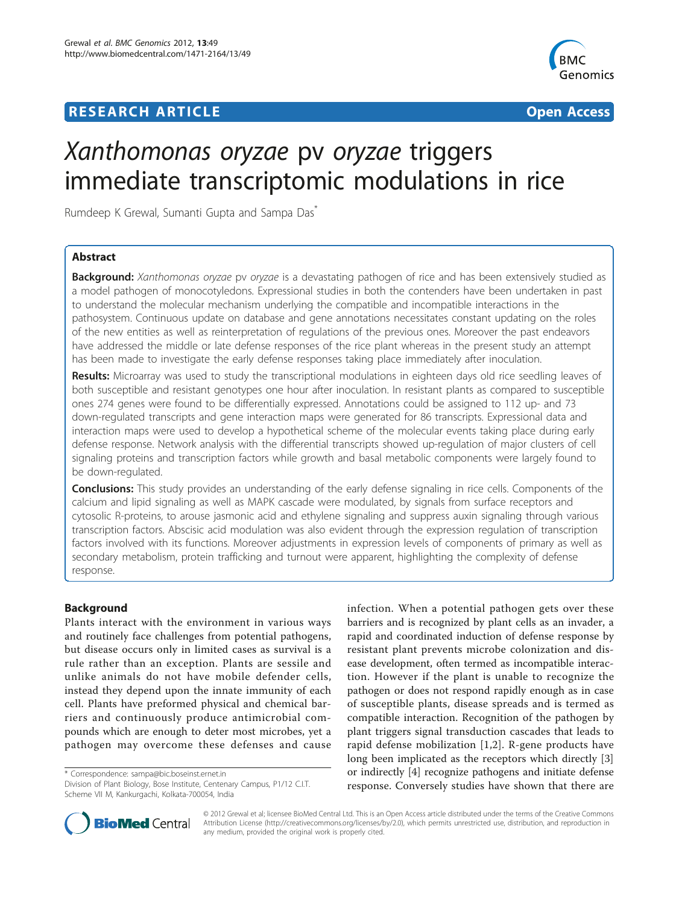# **RESEARCH ARTICLE Example 2018 12:30 THE Open Access**



# Xanthomonas oryzae pv oryzae triggers immediate transcriptomic modulations in rice

Rumdeep K Grewal, Sumanti Gupta and Sampa Das<sup>\*</sup>

# Abstract

**Background:** Xanthomonas oryzae pv oryzae is a devastating pathogen of rice and has been extensively studied as a model pathogen of monocotyledons. Expressional studies in both the contenders have been undertaken in past to understand the molecular mechanism underlying the compatible and incompatible interactions in the pathosystem. Continuous update on database and gene annotations necessitates constant updating on the roles of the new entities as well as reinterpretation of regulations of the previous ones. Moreover the past endeavors have addressed the middle or late defense responses of the rice plant whereas in the present study an attempt has been made to investigate the early defense responses taking place immediately after inoculation.

Results: Microarray was used to study the transcriptional modulations in eighteen days old rice seedling leaves of both susceptible and resistant genotypes one hour after inoculation. In resistant plants as compared to susceptible ones 274 genes were found to be differentially expressed. Annotations could be assigned to 112 up- and 73 down-regulated transcripts and gene interaction maps were generated for 86 transcripts. Expressional data and interaction maps were used to develop a hypothetical scheme of the molecular events taking place during early defense response. Network analysis with the differential transcripts showed up-regulation of major clusters of cell signaling proteins and transcription factors while growth and basal metabolic components were largely found to be down-regulated.

Conclusions: This study provides an understanding of the early defense signaling in rice cells. Components of the calcium and lipid signaling as well as MAPK cascade were modulated, by signals from surface receptors and cytosolic R-proteins, to arouse jasmonic acid and ethylene signaling and suppress auxin signaling through various transcription factors. Abscisic acid modulation was also evident through the expression regulation of transcription factors involved with its functions. Moreover adjustments in expression levels of components of primary as well as secondary metabolism, protein trafficking and turnout were apparent, highlighting the complexity of defense response.

# Background

Plants interact with the environment in various ways and routinely face challenges from potential pathogens, but disease occurs only in limited cases as survival is a rule rather than an exception. Plants are sessile and unlike animals do not have mobile defender cells, instead they depend upon the innate immunity of each cell. Plants have preformed physical and chemical barriers and continuously produce antimicrobial compounds which are enough to deter most microbes, yet a pathogen may overcome these defenses and cause

\* Correspondence: [sampa@bic.boseinst.ernet.in](mailto:sampa@bic.boseinst.ernet.in)

Division of Plant Biology, Bose Institute, Centenary Campus, P1/12 C.I.T. Scheme VII M, Kankurgachi, Kolkata-700054, India

infection. When a potential pathogen gets over these barriers and is recognized by plant cells as an invader, a rapid and coordinated induction of defense response by resistant plant prevents microbe colonization and disease development, often termed as incompatible interaction. However if the plant is unable to recognize the pathogen or does not respond rapidly enough as in case of susceptible plants, disease spreads and is termed as compatible interaction. Recognition of the pathogen by plant triggers signal transduction cascades that leads to rapid defense mobilization [[1,2](#page-10-0)]. R-gene products have long been implicated as the receptors which directly [\[3](#page-10-0)] or indirectly [\[4](#page-10-0)] recognize pathogens and initiate defense response. Conversely studies have shown that there are



© 2012 Grewal et al; licensee BioMed Central Ltd. This is an Open Access article distributed under the terms of the Creative Commons Attribution License [\(http://creativecommons.org/licenses/by/2.0](http://creativecommons.org/licenses/by/2.0)), which permits unrestricted use, distribution, and reproduction in any medium, provided the original work is properly cited.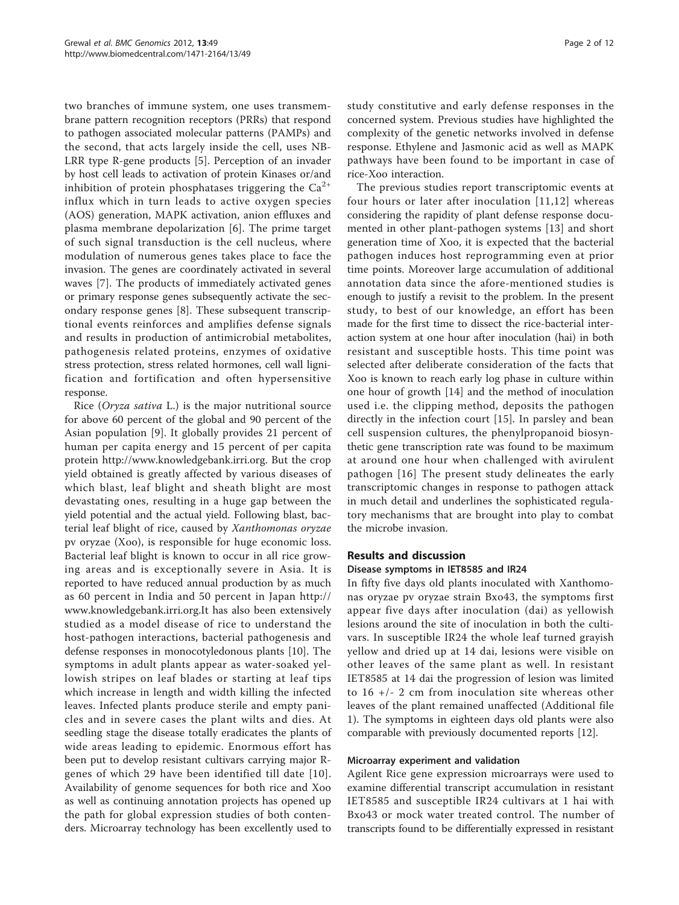two branches of immune system, one uses transmembrane pattern recognition receptors (PRRs) that respond to pathogen associated molecular patterns (PAMPs) and the second, that acts largely inside the cell, uses NB-LRR type R-gene products [[5\]](#page-10-0). Perception of an invader by host cell leads to activation of protein Kinases or/and inhibition of protein phosphatases triggering the  $Ca^{2+}$ influx which in turn leads to active oxygen species (AOS) generation, MAPK activation, anion effluxes and plasma membrane depolarization [\[6](#page-10-0)]. The prime target of such signal transduction is the cell nucleus, where modulation of numerous genes takes place to face the invasion. The genes are coordinately activated in several waves [[7\]](#page-10-0). The products of immediately activated genes or primary response genes subsequently activate the secondary response genes [[8](#page-10-0)]. These subsequent transcriptional events reinforces and amplifies defense signals and results in production of antimicrobial metabolites, pathogenesis related proteins, enzymes of oxidative stress protection, stress related hormones, cell wall lignification and fortification and often hypersensitive response.

Rice (Oryza sativa L.) is the major nutritional source for above 60 percent of the global and 90 percent of the Asian population [[9\]](#page-10-0). It globally provides 21 percent of human per capita energy and 15 percent of per capita protein [http://www.knowledgebank.irri.org.](http://www.knowledgebank.irri.org) But the crop yield obtained is greatly affected by various diseases of which blast, leaf blight and sheath blight are most devastating ones, resulting in a huge gap between the yield potential and the actual yield. Following blast, bacterial leaf blight of rice, caused by Xanthomonas oryzae pv oryzae (Xoo), is responsible for huge economic loss. Bacterial leaf blight is known to occur in all rice growing areas and is exceptionally severe in Asia. It is reported to have reduced annual production by as much as 60 percent in India and 50 percent in Japan [http://](http://www.knowledgebank.irri.org) [www.knowledgebank.irri.org](http://www.knowledgebank.irri.org).It has also been extensively studied as a model disease of rice to understand the host-pathogen interactions, bacterial pathogenesis and defense responses in monocotyledonous plants [[10\]](#page-10-0). The symptoms in adult plants appear as water-soaked yellowish stripes on leaf blades or starting at leaf tips which increase in length and width killing the infected leaves. Infected plants produce sterile and empty panicles and in severe cases the plant wilts and dies. At seedling stage the disease totally eradicates the plants of wide areas leading to epidemic. Enormous effort has been put to develop resistant cultivars carrying major Rgenes of which 29 have been identified till date [[10\]](#page-10-0). Availability of genome sequences for both rice and Xoo as well as continuing annotation projects has opened up the path for global expression studies of both contenders. Microarray technology has been excellently used to study constitutive and early defense responses in the concerned system. Previous studies have highlighted the complexity of the genetic networks involved in defense response. Ethylene and Jasmonic acid as well as MAPK pathways have been found to be important in case of rice-Xoo interaction.

The previous studies report transcriptomic events at four hours or later after inoculation [[11,12\]](#page-10-0) whereas considering the rapidity of plant defense response documented in other plant-pathogen systems [[13\]](#page-10-0) and short generation time of Xoo, it is expected that the bacterial pathogen induces host reprogramming even at prior time points. Moreover large accumulation of additional annotation data since the afore-mentioned studies is enough to justify a revisit to the problem. In the present study, to best of our knowledge, an effort has been made for the first time to dissect the rice-bacterial interaction system at one hour after inoculation (hai) in both resistant and susceptible hosts. This time point was selected after deliberate consideration of the facts that Xoo is known to reach early log phase in culture within one hour of growth [[14\]](#page-10-0) and the method of inoculation used i.e. the clipping method, deposits the pathogen directly in the infection court [[15\]](#page-10-0). In parsley and bean cell suspension cultures, the phenylpropanoid biosynthetic gene transcription rate was found to be maximum at around one hour when challenged with avirulent pathogen [[16](#page-10-0)] The present study delineates the early transcriptomic changes in response to pathogen attack in much detail and underlines the sophisticated regulatory mechanisms that are brought into play to combat the microbe invasion.

#### Results and discussion

#### Disease symptoms in IET8585 and IR24

In fifty five days old plants inoculated with Xanthomonas oryzae pv oryzae strain Bxo43, the symptoms first appear five days after inoculation (dai) as yellowish lesions around the site of inoculation in both the cultivars. In susceptible IR24 the whole leaf turned grayish yellow and dried up at 14 dai, lesions were visible on other leaves of the same plant as well. In resistant IET8585 at 14 dai the progression of lesion was limited to 16 +/- 2 cm from inoculation site whereas other leaves of the plant remained unaffected (Additional file [1\)](#page-9-0). The symptoms in eighteen days old plants were also comparable with previously documented reports [[12\]](#page-10-0).

#### Microarray experiment and validation

Agilent Rice gene expression microarrays were used to examine differential transcript accumulation in resistant IET8585 and susceptible IR24 cultivars at 1 hai with Bxo43 or mock water treated control. The number of transcripts found to be differentially expressed in resistant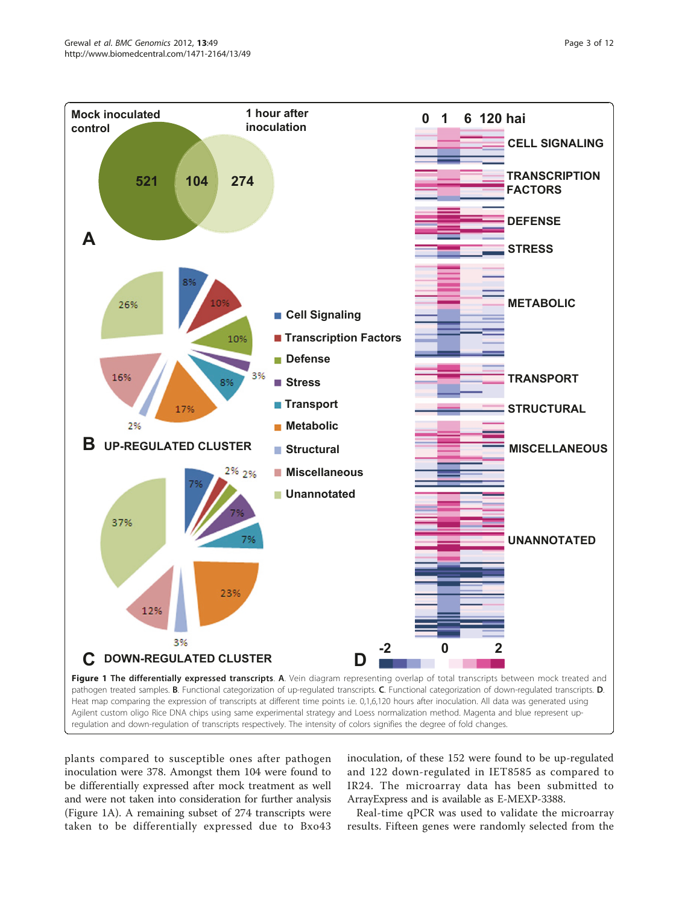<span id="page-2-0"></span>

plants compared to susceptible ones after pathogen inoculation were 378. Amongst them 104 were found to be differentially expressed after mock treatment as well and were not taken into consideration for further analysis (Figure 1A). A remaining subset of 274 transcripts were taken to be differentially expressed due to Bxo43 inoculation, of these 152 were found to be up-regulated and 122 down-regulated in IET8585 as compared to IR24. The microarray data has been submitted to ArrayExpress and is available as E-MEXP-3388.

Real-time qPCR was used to validate the microarray results. Fifteen genes were randomly selected from the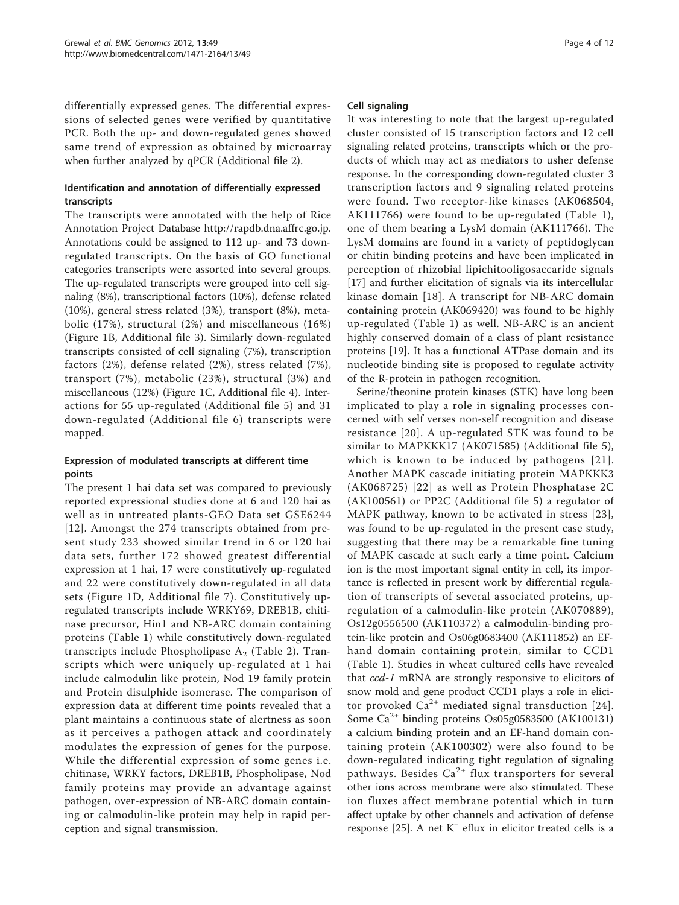differentially expressed genes. The differential expressions of selected genes were verified by quantitative PCR. Both the up- and down-regulated genes showed same trend of expression as obtained by microarray when further analyzed by qPCR (Additional file [2](#page-9-0)).

# Identification and annotation of differentially expressed transcripts

The transcripts were annotated with the help of Rice Annotation Project Database<http://rapdb.dna.affrc.go.jp>. Annotations could be assigned to 112 up- and 73 downregulated transcripts. On the basis of GO functional categories transcripts were assorted into several groups. The up-regulated transcripts were grouped into cell signaling (8%), transcriptional factors (10%), defense related (10%), general stress related (3%), transport (8%), metabolic (17%), structural (2%) and miscellaneous (16%) (Figure [1B,](#page-2-0) Additional file [3\)](#page-9-0). Similarly down-regulated transcripts consisted of cell signaling (7%), transcription factors (2%), defense related (2%), stress related (7%), transport (7%), metabolic (23%), structural (3%) and miscellaneous (12%) (Figure [1C](#page-2-0), Additional file [4\)](#page-9-0). Interactions for 55 up-regulated (Additional file [5](#page-9-0)) and 31 down-regulated (Additional file [6\)](#page-9-0) transcripts were mapped.

# Expression of modulated transcripts at different time points

The present 1 hai data set was compared to previously reported expressional studies done at 6 and 120 hai as well as in untreated plants-GEO Data set GSE6244 [[12](#page-10-0)]. Amongst the 274 transcripts obtained from present study 233 showed similar trend in 6 or 120 hai data sets, further 172 showed greatest differential expression at 1 hai, 17 were constitutively up-regulated and 22 were constitutively down-regulated in all data sets (Figure [1D,](#page-2-0) Additional file [7\)](#page-9-0). Constitutively upregulated transcripts include WRKY69, DREB1B, chitinase precursor, Hin1 and NB-ARC domain containing proteins (Table [1\)](#page-4-0) while constitutively down-regulated transcripts include Phospholipase  $A_2$  (Table [2\)](#page-5-0). Transcripts which were uniquely up-regulated at 1 hai include calmodulin like protein, Nod 19 family protein and Protein disulphide isomerase. The comparison of expression data at different time points revealed that a plant maintains a continuous state of alertness as soon as it perceives a pathogen attack and coordinately modulates the expression of genes for the purpose. While the differential expression of some genes i.e. chitinase, WRKY factors, DREB1B, Phospholipase, Nod family proteins may provide an advantage against pathogen, over-expression of NB-ARC domain containing or calmodulin-like protein may help in rapid perception and signal transmission.

### Cell signaling

It was interesting to note that the largest up-regulated cluster consisted of 15 transcription factors and 12 cell signaling related proteins, transcripts which or the products of which may act as mediators to usher defense response. In the corresponding down-regulated cluster 3 transcription factors and 9 signaling related proteins were found. Two receptor-like kinases (AK068504, AK111766) were found to be up-regulated (Table [1\)](#page-4-0), one of them bearing a LysM domain (AK111766). The LysM domains are found in a variety of peptidoglycan or chitin binding proteins and have been implicated in perception of rhizobial lipichitooligosaccaride signals [[17\]](#page-10-0) and further elicitation of signals via its intercellular kinase domain [[18](#page-10-0)]. A transcript for NB-ARC domain containing protein (AK069420) was found to be highly up-regulated (Table [1](#page-4-0)) as well. NB-ARC is an ancient highly conserved domain of a class of plant resistance proteins [[19](#page-10-0)]. It has a functional ATPase domain and its nucleotide binding site is proposed to regulate activity of the R-protein in pathogen recognition.

Serine/theonine protein kinases (STK) have long been implicated to play a role in signaling processes concerned with self verses non-self recognition and disease resistance [[20](#page-10-0)]. A up-regulated STK was found to be similar to MAPKKK17 (AK071585) (Additional file [5](#page-9-0)), which is known to be induced by pathogens [[21\]](#page-10-0). Another MAPK cascade initiating protein MAPKKK3 (AK068725) [[22](#page-10-0)] as well as Protein Phosphatase 2C (AK100561) or PP2C (Additional file [5](#page-9-0)) a regulator of MAPK pathway, known to be activated in stress [[23\]](#page-10-0), was found to be up-regulated in the present case study, suggesting that there may be a remarkable fine tuning of MAPK cascade at such early a time point. Calcium ion is the most important signal entity in cell, its importance is reflected in present work by differential regulation of transcripts of several associated proteins, upregulation of a calmodulin-like protein (AK070889), Os12g0556500 (AK110372) a calmodulin-binding protein-like protein and Os06g0683400 (AK111852) an EFhand domain containing protein, similar to CCD1 (Table [1\)](#page-4-0). Studies in wheat cultured cells have revealed that ccd-1 mRNA are strongly responsive to elicitors of snow mold and gene product CCD1 plays a role in elicitor provoked  $Ca^{2+}$  mediated signal transduction [[24\]](#page-10-0). Some  $Ca^{2+}$  binding proteins Os05g0583500 (AK100131) a calcium binding protein and an EF-hand domain containing protein (AK100302) were also found to be down-regulated indicating tight regulation of signaling pathways. Besides  $Ca^{2+}$  flux transporters for several other ions across membrane were also stimulated. These ion fluxes affect membrane potential which in turn affect uptake by other channels and activation of defense response [[25\]](#page-10-0). A net  $K^+$  eflux in elicitor treated cells is a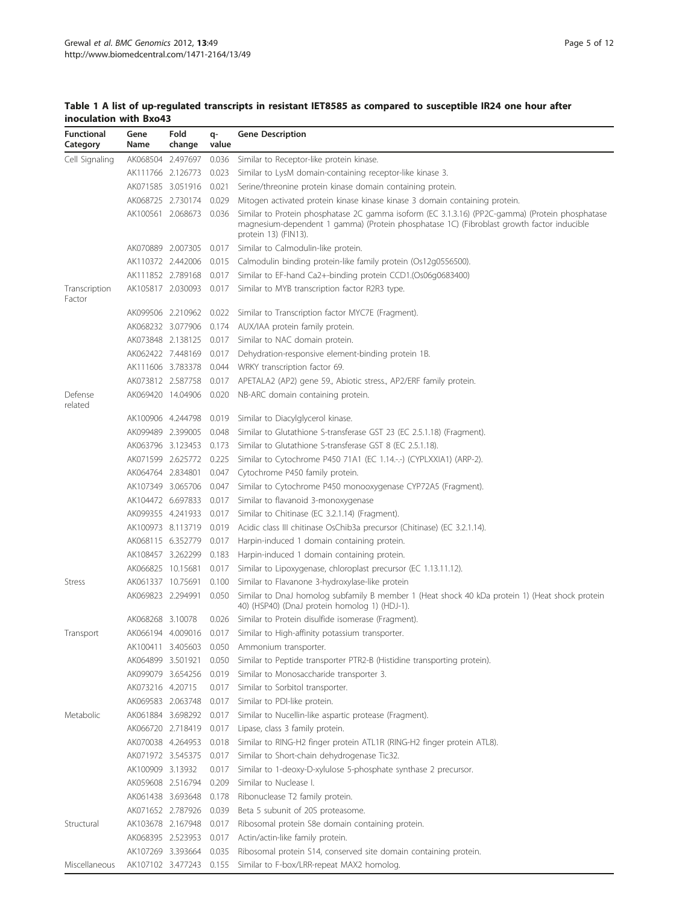<span id="page-4-0"></span>

| Table 1 A list of up-regulated transcripts in resistant IET8585 as compared to susceptible IR24 one hour after |  |
|----------------------------------------------------------------------------------------------------------------|--|
| inoculation with Bxo43                                                                                         |  |

| <b>Functional</b><br>Category | Fold<br>Gene<br>q-<br>change<br>value<br>Name |                         |       | <b>Gene Description</b>                                                                                                                                                                                              |  |  |  |
|-------------------------------|-----------------------------------------------|-------------------------|-------|----------------------------------------------------------------------------------------------------------------------------------------------------------------------------------------------------------------------|--|--|--|
| Cell Signaling                | AK068504 2.497697                             |                         | 0.036 | Similar to Receptor-like protein kinase.                                                                                                                                                                             |  |  |  |
|                               |                                               | AK111766 2.126773       | 0.023 | Similar to LysM domain-containing receptor-like kinase 3.                                                                                                                                                            |  |  |  |
|                               |                                               | AK071585 3.051916       | 0.021 | Serine/threonine protein kinase domain containing protein.                                                                                                                                                           |  |  |  |
|                               |                                               | AK068725 2.730174       | 0.029 | Mitogen activated protein kinase kinase kinase 3 domain containing protein.                                                                                                                                          |  |  |  |
|                               |                                               | AK100561 2.068673 0.036 |       | Similar to Protein phosphatase 2C gamma isoform (EC 3.1.3.16) (PP2C-gamma) (Protein phosphatase<br>magnesium-dependent 1 gamma) (Protein phosphatase 1C) (Fibroblast growth factor inducible<br>protein 13) (FIN13). |  |  |  |
|                               |                                               | AK070889 2.007305       | 0.017 | Similar to Calmodulin-like protein.                                                                                                                                                                                  |  |  |  |
|                               |                                               | AK110372 2.442006       | 0.015 | Calmodulin binding protein-like family protein (Os12q0556500).                                                                                                                                                       |  |  |  |
|                               |                                               | AK111852 2.789168       | 0.017 | Similar to EF-hand Ca2+-binding protein CCD1.(Os06g0683400)                                                                                                                                                          |  |  |  |
| Transcription<br>Factor       |                                               | AK105817 2.030093       | 0.017 | Similar to MYB transcription factor R2R3 type.                                                                                                                                                                       |  |  |  |
|                               |                                               | AK099506 2.210962       | 0.022 | Similar to Transcription factor MYC7E (Fragment).                                                                                                                                                                    |  |  |  |
|                               |                                               | AK068232 3.077906       | 0.174 | AUX/IAA protein family protein.                                                                                                                                                                                      |  |  |  |
|                               |                                               | AK073848 2.138125       | 0.017 | Similar to NAC domain protein.                                                                                                                                                                                       |  |  |  |
|                               |                                               | AK062422 7.448169       | 0.017 | Dehydration-responsive element-binding protein 1B.                                                                                                                                                                   |  |  |  |
|                               |                                               | AK111606 3.783378       | 0.044 | WRKY transcription factor 69.                                                                                                                                                                                        |  |  |  |
|                               |                                               | AK073812 2.587758       | 0.017 | APETALA2 (AP2) gene 59., Abiotic stress., AP2/ERF family protein.                                                                                                                                                    |  |  |  |
| Defense<br>related            |                                               | AK069420 14.04906       | 0.020 | NB-ARC domain containing protein.                                                                                                                                                                                    |  |  |  |
|                               |                                               | AK100906 4.244798       | 0.019 | Similar to Diacylglycerol kinase.                                                                                                                                                                                    |  |  |  |
|                               |                                               | AK099489 2.399005       | 0.048 | Similar to Glutathione S-transferase GST 23 (EC 2.5.1.18) (Fragment).                                                                                                                                                |  |  |  |
|                               |                                               | AK063796 3.123453       | 0.173 | Similar to Glutathione S-transferase GST 8 (EC 2.5.1.18).                                                                                                                                                            |  |  |  |
|                               |                                               | AK071599 2.625772 0.225 |       | Similar to Cytochrome P450 71A1 (EC 1.14.-.-) (CYPLXXIA1) (ARP-2).                                                                                                                                                   |  |  |  |
|                               | AK064764 2.834801                             |                         | 0.047 | Cytochrome P450 family protein.                                                                                                                                                                                      |  |  |  |
|                               |                                               | AK107349 3.065706       | 0.047 | Similar to Cytochrome P450 monooxygenase CYP72A5 (Fragment).                                                                                                                                                         |  |  |  |
|                               |                                               | AK104472 6.697833       | 0.017 | Similar to flavanoid 3-monoxygenase                                                                                                                                                                                  |  |  |  |
|                               |                                               | AK099355 4.241933       | 0.017 | Similar to Chitinase (EC 3.2.1.14) (Fragment).                                                                                                                                                                       |  |  |  |
|                               |                                               | AK100973 8.113719       | 0.019 | Acidic class III chitinase OsChib3a precursor (Chitinase) (EC 3.2.1.14).                                                                                                                                             |  |  |  |
|                               |                                               | AK068115 6.352779 0.017 |       | Harpin-induced 1 domain containing protein.                                                                                                                                                                          |  |  |  |
|                               |                                               | AK108457 3.262299       | 0.183 | Harpin-induced 1 domain containing protein.                                                                                                                                                                          |  |  |  |
|                               | AK066825 10.15681                             |                         | 0.017 | Similar to Lipoxygenase, chloroplast precursor (EC 1.13.11.12).                                                                                                                                                      |  |  |  |
| <b>Stress</b>                 | AK061337 10.75691                             |                         | 0.100 | Similar to Flavanone 3-hydroxylase-like protein                                                                                                                                                                      |  |  |  |
|                               | AK069823 2.294991                             |                         | 0.050 | Similar to DnaJ homolog subfamily B member 1 (Heat shock 40 kDa protein 1) (Heat shock protein<br>40) (HSP40) (DnaJ protein homolog 1) (HDJ-1).                                                                      |  |  |  |
|                               | AK068268 3.10078                              |                         | 0.026 | Similar to Protein disulfide isomerase (Fragment).                                                                                                                                                                   |  |  |  |
| Transport                     |                                               | AK066194 4.009016       | 0.017 | Similar to High-affinity potassium transporter.                                                                                                                                                                      |  |  |  |
|                               |                                               | AK100411 3.405603       | 0.050 | Ammonium transporter.                                                                                                                                                                                                |  |  |  |
|                               | AK064899 3.501921                             |                         | 0.050 | Similar to Peptide transporter PTR2-B (Histidine transporting protein).                                                                                                                                              |  |  |  |
|                               |                                               | AK099079 3.654256       | 0.019 | Similar to Monosaccharide transporter 3.                                                                                                                                                                             |  |  |  |
|                               | AK073216 4.20715                              |                         | 0.017 | Similar to Sorbitol transporter.                                                                                                                                                                                     |  |  |  |
|                               |                                               | AK069583 2.063748       | 0.017 | Similar to PDI-like protein.                                                                                                                                                                                         |  |  |  |
| Metabolic                     |                                               | AK061884 3.698292       | 0.017 | Similar to Nucellin-like aspartic protease (Fragment).                                                                                                                                                               |  |  |  |
|                               |                                               | AK066720 2.718419       | 0.017 | Lipase, class 3 family protein.                                                                                                                                                                                      |  |  |  |
|                               |                                               | AK070038 4.264953       | 0.018 | Similar to RING-H2 finger protein ATL1R (RING-H2 finger protein ATL8).                                                                                                                                               |  |  |  |
|                               |                                               | AK071972 3.545375       | 0.017 | Similar to Short-chain dehydrogenase Tic32.                                                                                                                                                                          |  |  |  |
|                               | AK100909 3.13932                              |                         | 0.017 | Similar to 1-deoxy-D-xylulose 5-phosphate synthase 2 precursor.                                                                                                                                                      |  |  |  |
|                               |                                               | AK059608 2.516794       | 0.209 | Similar to Nuclease I.                                                                                                                                                                                               |  |  |  |
|                               |                                               | AK061438 3.693648       | 0.178 | Ribonuclease T2 family protein.                                                                                                                                                                                      |  |  |  |
|                               |                                               | AK071652 2.787926       | 0.039 | Beta 5 subunit of 20S proteasome.                                                                                                                                                                                    |  |  |  |
| Structural                    |                                               | AK103678 2.167948       | 0.017 | Ribosomal protein S8e domain containing protein.                                                                                                                                                                     |  |  |  |
|                               |                                               | AK068395 2.523953       | 0.017 | Actin/actin-like family protein.                                                                                                                                                                                     |  |  |  |
|                               |                                               | AK107269 3.393664       | 0.035 | Ribosomal protein S14, conserved site domain containing protein.                                                                                                                                                     |  |  |  |
| Miscellaneous                 |                                               |                         |       | AK107102 3.477243 0.155 Similar to F-box/LRR-repeat MAX2 homolog.                                                                                                                                                    |  |  |  |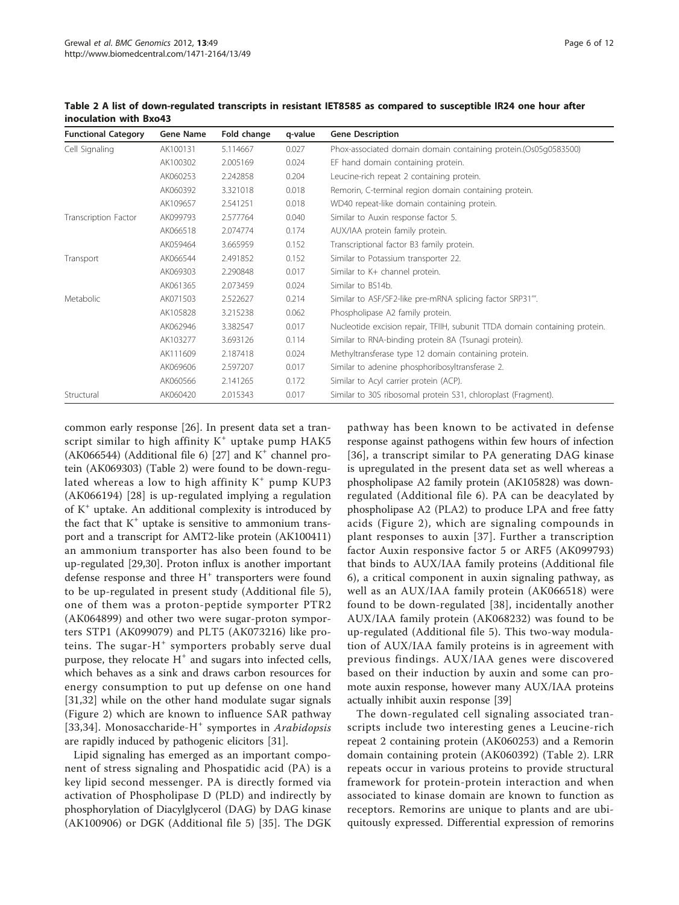| <b>Functional Category</b> | <b>Gene Name</b> | Fold change | q-value | <b>Gene Description</b>                                                    |
|----------------------------|------------------|-------------|---------|----------------------------------------------------------------------------|
| Cell Signaling             | AK100131         | 5.114667    | 0.027   | Phox-associated domain domain containing protein.(Os05q0583500)            |
|                            | AK100302         | 2.005169    | 0.024   | EF hand domain containing protein.                                         |
|                            | AK060253         | 2.242858    | 0.204   | Leucine-rich repeat 2 containing protein.                                  |
|                            | AK060392         | 3.321018    | 0.018   | Remorin, C-terminal region domain containing protein.                      |
|                            | AK109657         | 2.541251    | 0.018   | WD40 repeat-like domain containing protein.                                |
| Transcription Factor       | AK099793         | 2.577764    | 0.040   | Similar to Auxin response factor 5.                                        |
|                            | AK066518         | 2.074774    | 0.174   | AUX/IAA protein family protein.                                            |
|                            | AK059464         | 3.665959    | 0.152   | Transcriptional factor B3 family protein.                                  |
| Transport                  | AK066544         | 2.491852    | 0.152   | Similar to Potassium transporter 22.                                       |
|                            | AK069303         | 2.290848    | 0.017   | Similar to K+ channel protein.                                             |
|                            | AK061365         | 2.073459    | 0.024   | Similar to BS14b.                                                          |
| Metabolic                  | AK071503         | 2.522627    | 0.214   | Similar to ASF/SF2-like pre-mRNA splicing factor SRP31".                   |
|                            | AK105828         | 3.215238    | 0.062   | Phospholipase A2 family protein.                                           |
|                            | AK062946         | 3.382547    | 0.017   | Nucleotide excision repair, TFIIH, subunit TTDA domain containing protein. |
|                            | AK103277         | 3.693126    | 0.114   | Similar to RNA-binding protein 8A (Tsunagi protein).                       |
|                            | AK111609         | 2.187418    | 0.024   | Methyltransferase type 12 domain containing protein.                       |
|                            | AK069606         | 2.597207    | 0.017   | Similar to adenine phosphoribosyltransferase 2.                            |
|                            | AK060566         | 2.141265    | 0.172   | Similar to Acyl carrier protein (ACP).                                     |
| Structural                 | AK060420         | 2.015343    | 0.017   | Similar to 30S ribosomal protein S31, chloroplast (Fragment).              |

<span id="page-5-0"></span>Table 2 A list of down-regulated transcripts in resistant IET8585 as compared to susceptible IR24 one hour after inoculation with Bxo43

common early response [\[26](#page-10-0)]. In present data set a transcript similar to high affinity  $K^+$  uptake pump HAK5 (AK066544) (Additional file [6](#page-9-0)) [\[27\]](#page-10-0) and  $K^+$  channel protein (AK069303) (Table 2) were found to be down-regulated whereas a low to high affinity  $K^+$  pump KUP3 (AK066194) [[28\]](#page-10-0) is up-regulated implying a regulation of  $K^+$  uptake. An additional complexity is introduced by the fact that  $K^+$  uptake is sensitive to ammonium transport and a transcript for AMT2-like protein (AK100411) an ammonium transporter has also been found to be up-regulated [\[29](#page-10-0),[30](#page-10-0)]. Proton influx is another important defense response and three H<sup>+</sup> transporters were found to be up-regulated in present study (Additional file [5](#page-9-0)), one of them was a proton-peptide symporter PTR2 (AK064899) and other two were sugar-proton symporters STP1 (AK099079) and PLT5 (AK073216) like proteins. The sugar-H<sup>+</sup> symporters probably serve dual purpose, they relocate  $H^+$  and sugars into infected cells, which behaves as a sink and draws carbon resources for energy consumption to put up defense on one hand [[31,32](#page-10-0)] while on the other hand modulate sugar signals (Figure [2](#page-6-0)) which are known to influence SAR pathway [[33](#page-10-0),[34\]](#page-10-0). Monosaccharide-H $^+$  symportes in Arabidopsis are rapidly induced by pathogenic elicitors [[31\]](#page-10-0).

Lipid signaling has emerged as an important component of stress signaling and Phospatidic acid (PA) is a key lipid second messenger. PA is directly formed via activation of Phospholipase D (PLD) and indirectly by phosphorylation of Diacylglycerol (DAG) by DAG kinase (AK100906) or DGK (Additional file [5](#page-9-0)) [\[35](#page-10-0)]. The DGK

pathway has been known to be activated in defense response against pathogens within few hours of infection [[36](#page-10-0)], a transcript similar to PA generating DAG kinase is upregulated in the present data set as well whereas a phospholipase A2 family protein (AK105828) was downregulated (Additional file [6\)](#page-9-0). PA can be deacylated by phospholipase A2 (PLA2) to produce LPA and free fatty acids (Figure [2](#page-6-0)), which are signaling compounds in plant responses to auxin [[37](#page-10-0)]. Further a transcription factor Auxin responsive factor 5 or ARF5 (AK099793) that binds to AUX/IAA family proteins (Additional file [6\)](#page-9-0), a critical component in auxin signaling pathway, as well as an AUX/IAA family protein (AK066518) were found to be down-regulated [[38](#page-10-0)], incidentally another AUX/IAA family protein (AK068232) was found to be up-regulated (Additional file [5\)](#page-9-0). This two-way modulation of AUX/IAA family proteins is in agreement with previous findings. AUX/IAA genes were discovered based on their induction by auxin and some can promote auxin response, however many AUX/IAA proteins actually inhibit auxin response [\[39](#page-10-0)]

The down-regulated cell signaling associated transcripts include two interesting genes a Leucine-rich repeat 2 containing protein (AK060253) and a Remorin domain containing protein (AK060392) (Table 2). LRR repeats occur in various proteins to provide structural framework for protein-protein interaction and when associated to kinase domain are known to function as receptors. Remorins are unique to plants and are ubiquitously expressed. Differential expression of remorins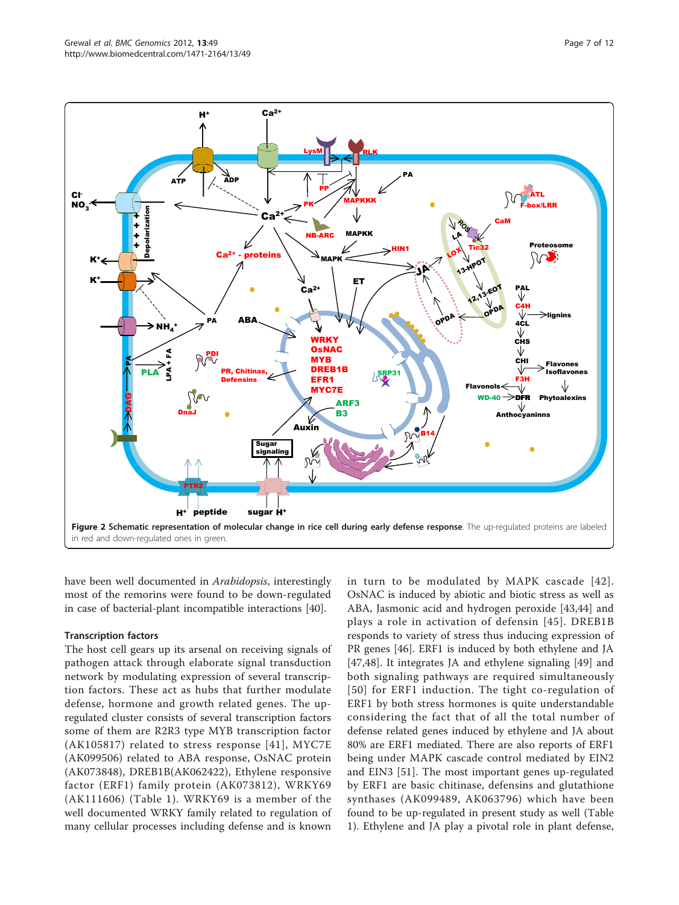<span id="page-6-0"></span>

have been well documented in Arabidopsis, interestingly most of the remorins were found to be down-regulated in case of bacterial-plant incompatible interactions [\[40](#page-10-0)].

#### Transcription factors

The host cell gears up its arsenal on receiving signals of pathogen attack through elaborate signal transduction network by modulating expression of several transcription factors. These act as hubs that further modulate defense, hormone and growth related genes. The upregulated cluster consists of several transcription factors some of them are R2R3 type MYB transcription factor (AK105817) related to stress response [[41\]](#page-10-0), MYC7E (AK099506) related to ABA response, OsNAC protein (AK073848), DREB1B(AK062422), Ethylene responsive factor (ERF1) family protein (AK073812), WRKY69 (AK111606) (Table [1](#page-4-0)). WRKY69 is a member of the well documented WRKY family related to regulation of many cellular processes including defense and is known in turn to be modulated by MAPK cascade [[42\]](#page-10-0). OsNAC is induced by abiotic and biotic stress as well as ABA, Jasmonic acid and hydrogen peroxide [[43,44\]](#page-10-0) and plays a role in activation of defensin [[45\]](#page-10-0). DREB1B responds to variety of stress thus inducing expression of PR genes [[46\]](#page-10-0). ERF1 is induced by both ethylene and JA [[47,48](#page-10-0)]. It integrates JA and ethylene signaling [[49\]](#page-11-0) and both signaling pathways are required simultaneously [[50](#page-11-0)] for ERF1 induction. The tight co-regulation of ERF1 by both stress hormones is quite understandable considering the fact that of all the total number of defense related genes induced by ethylene and JA about 80% are ERF1 mediated. There are also reports of ERF1 being under MAPK cascade control mediated by EIN2 and EIN3 [\[51](#page-11-0)]. The most important genes up-regulated by ERF1 are basic chitinase, defensins and glutathione synthases (AK099489, AK063796) which have been found to be up-regulated in present study as well (Table [1\)](#page-4-0). Ethylene and JA play a pivotal role in plant defense,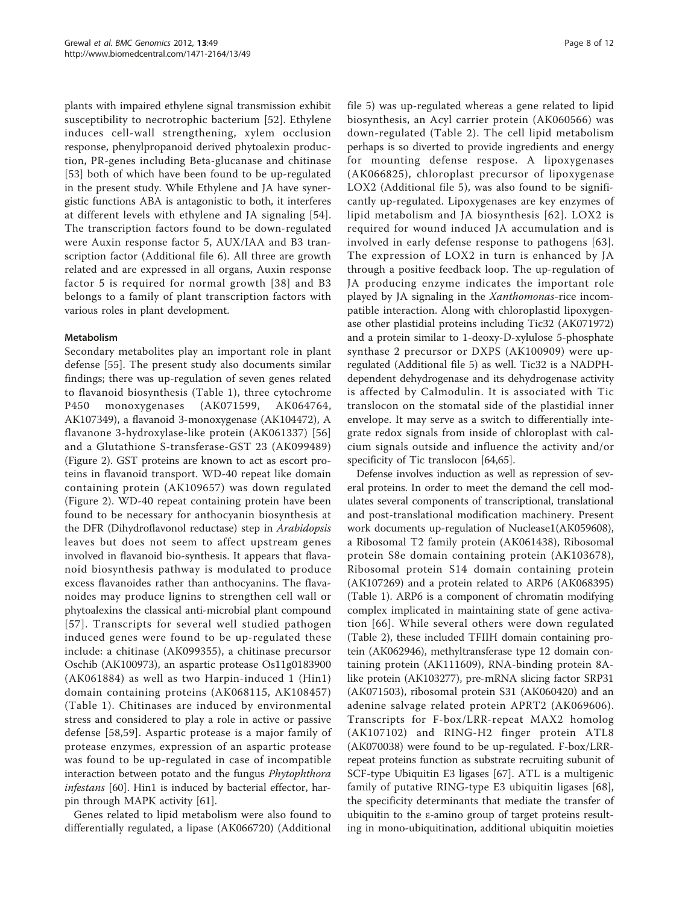plants with impaired ethylene signal transmission exhibit susceptibility to necrotrophic bacterium [[52](#page-11-0)]. Ethylene induces cell-wall strengthening, xylem occlusion response, phenylpropanoid derived phytoalexin production, PR-genes including Beta-glucanase and chitinase [[53\]](#page-11-0) both of which have been found to be up-regulated in the present study. While Ethylene and JA have synergistic functions ABA is antagonistic to both, it interferes at different levels with ethylene and JA signaling [[54](#page-11-0)]. The transcription factors found to be down-regulated were Auxin response factor 5, AUX/IAA and B3 transcription factor (Additional file [6\)](#page-9-0). All three are growth related and are expressed in all organs, Auxin response factor 5 is required for normal growth [[38\]](#page-10-0) and B3 belongs to a family of plant transcription factors with various roles in plant development.

#### Metabolism

Secondary metabolites play an important role in plant defense [[55\]](#page-11-0). The present study also documents similar findings; there was up-regulation of seven genes related to flavanoid biosynthesis (Table [1\)](#page-4-0), three cytochrome P450 monoxygenases (AK071599, AK064764, AK107349), a flavanoid 3-monoxygenase (AK104472), A flavanone 3-hydroxylase-like protein (AK061337) [[56](#page-11-0)] and a Glutathione S-transferase-GST 23 (AK099489) (Figure [2\)](#page-6-0). GST proteins are known to act as escort proteins in flavanoid transport. WD-40 repeat like domain containing protein (AK109657) was down regulated (Figure [2\)](#page-6-0). WD-40 repeat containing protein have been found to be necessary for anthocyanin biosynthesis at the DFR (Dihydroflavonol reductase) step in Arabidopsis leaves but does not seem to affect upstream genes involved in flavanoid bio-synthesis. It appears that flavanoid biosynthesis pathway is modulated to produce excess flavanoides rather than anthocyanins. The flavanoides may produce lignins to strengthen cell wall or phytoalexins the classical anti-microbial plant compound [[57](#page-11-0)]. Transcripts for several well studied pathogen induced genes were found to be up-regulated these include: a chitinase (AK099355), a chitinase precursor Oschib (AK100973), an aspartic protease Os11g0183900 (AK061884) as well as two Harpin-induced 1 (Hin1) domain containing proteins (AK068115, AK108457) (Table [1\)](#page-4-0). Chitinases are induced by environmental stress and considered to play a role in active or passive defense [\[58,59](#page-11-0)]. Aspartic protease is a major family of protease enzymes, expression of an aspartic protease was found to be up-regulated in case of incompatible interaction between potato and the fungus Phytophthora infestans [[60](#page-11-0)]. Hin1 is induced by bacterial effector, harpin through MAPK activity [\[61](#page-11-0)].

Genes related to lipid metabolism were also found to differentially regulated, a lipase (AK066720) (Additional file [5](#page-9-0)) was up-regulated whereas a gene related to lipid biosynthesis, an Acyl carrier protein (AK060566) was down-regulated (Table [2\)](#page-5-0). The cell lipid metabolism perhaps is so diverted to provide ingredients and energy for mounting defense respose. A lipoxygenases (AK066825), chloroplast precursor of lipoxygenase LOX2 (Additional file [5](#page-9-0)), was also found to be significantly up-regulated. Lipoxygenases are key enzymes of lipid metabolism and JA biosynthesis [[62\]](#page-11-0). LOX2 is required for wound induced JA accumulation and is involved in early defense response to pathogens [[63](#page-11-0)]. The expression of LOX2 in turn is enhanced by JA through a positive feedback loop. The up-regulation of JA producing enzyme indicates the important role played by JA signaling in the Xanthomonas-rice incompatible interaction. Along with chloroplastid lipoxygenase other plastidial proteins including Tic32 (AK071972) and a protein similar to 1-deoxy-D-xylulose 5-phosphate synthase 2 precursor or DXPS (AK100909) were upregulated (Additional file [5](#page-9-0)) as well. Tic32 is a NADPHdependent dehydrogenase and its dehydrogenase activity is affected by Calmodulin. It is associated with Tic translocon on the stomatal side of the plastidial inner envelope. It may serve as a switch to differentially integrate redox signals from inside of chloroplast with calcium signals outside and influence the activity and/or specificity of Tic translocon [\[64,65\]](#page-11-0).

Defense involves induction as well as repression of several proteins. In order to meet the demand the cell modulates several components of transcriptional, translational and post-translational modification machinery. Present work documents up-regulation of Nuclease1(AK059608), a Ribosomal T2 family protein (AK061438), Ribosomal protein S8e domain containing protein (AK103678), Ribosomal protein S14 domain containing protein (AK107269) and a protein related to ARP6 (AK068395) (Table [1\)](#page-4-0). ARP6 is a component of chromatin modifying complex implicated in maintaining state of gene activation [[66](#page-11-0)]. While several others were down regulated (Table [2](#page-5-0)), these included TFIIH domain containing protein (AK062946), methyltransferase type 12 domain containing protein (AK111609), RNA-binding protein 8Alike protein (AK103277), pre-mRNA slicing factor SRP31 (AK071503), ribosomal protein S31 (AK060420) and an adenine salvage related protein APRT2 (AK069606). Transcripts for F-box/LRR-repeat MAX2 homolog (AK107102) and RING-H2 finger protein ATL8 (AK070038) were found to be up-regulated. F-box/LRRrepeat proteins function as substrate recruiting subunit of SCF-type Ubiquitin E3 ligases [[67\]](#page-11-0). ATL is a multigenic family of putative RING-type E3 ubiquitin ligases [[68](#page-11-0)], the specificity determinants that mediate the transfer of ubiquitin to the ε-amino group of target proteins resulting in mono-ubiquitination, additional ubiquitin moieties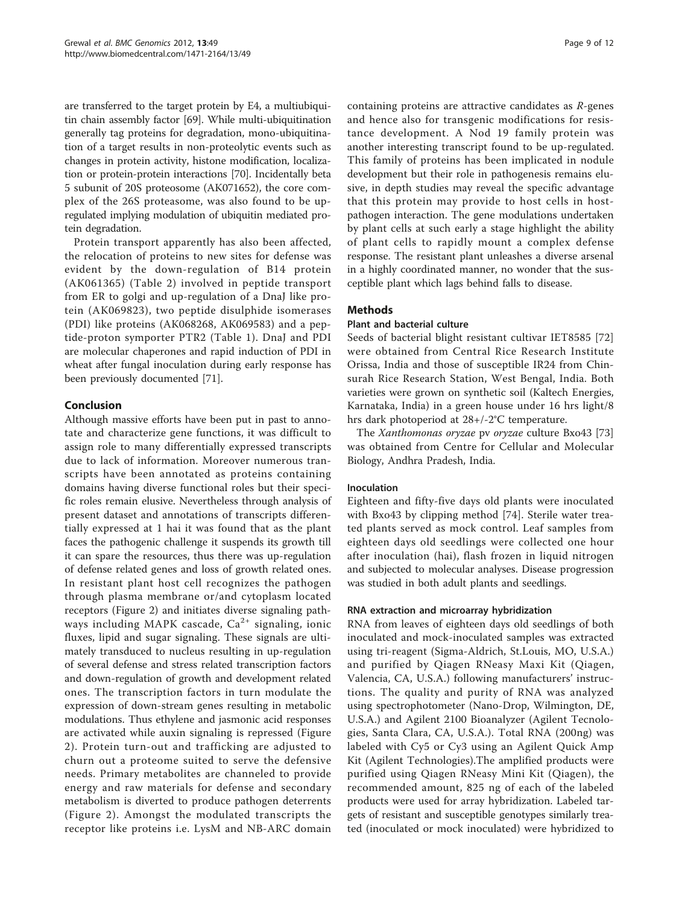are transferred to the target protein by E4, a multiubiquitin chain assembly factor [\[69\]](#page-11-0). While multi-ubiquitination generally tag proteins for degradation, mono-ubiquitination of a target results in non-proteolytic events such as changes in protein activity, histone modification, localization or protein-protein interactions [[70](#page-11-0)]. Incidentally beta 5 subunit of 20S proteosome (AK071652), the core complex of the 26S proteasome, was also found to be upregulated implying modulation of ubiquitin mediated protein degradation.

Protein transport apparently has also been affected, the relocation of proteins to new sites for defense was evident by the down-regulation of B14 protein (AK061365) (Table [2\)](#page-5-0) involved in peptide transport from ER to golgi and up-regulation of a DnaJ like protein (AK069823), two peptide disulphide isomerases (PDI) like proteins (AK068268, AK069583) and a peptide-proton symporter PTR2 (Table [1\)](#page-4-0). DnaJ and PDI are molecular chaperones and rapid induction of PDI in wheat after fungal inoculation during early response has been previously documented [[71](#page-11-0)].

# Conclusion

Although massive efforts have been put in past to annotate and characterize gene functions, it was difficult to assign role to many differentially expressed transcripts due to lack of information. Moreover numerous transcripts have been annotated as proteins containing domains having diverse functional roles but their specific roles remain elusive. Nevertheless through analysis of present dataset and annotations of transcripts differentially expressed at 1 hai it was found that as the plant faces the pathogenic challenge it suspends its growth till it can spare the resources, thus there was up-regulation of defense related genes and loss of growth related ones. In resistant plant host cell recognizes the pathogen through plasma membrane or/and cytoplasm located receptors (Figure [2\)](#page-6-0) and initiates diverse signaling pathways including MAPK cascade,  $Ca<sup>2+</sup>$  signaling, ionic fluxes, lipid and sugar signaling. These signals are ultimately transduced to nucleus resulting in up-regulation of several defense and stress related transcription factors and down-regulation of growth and development related ones. The transcription factors in turn modulate the expression of down-stream genes resulting in metabolic modulations. Thus ethylene and jasmonic acid responses are activated while auxin signaling is repressed (Figure [2](#page-6-0)). Protein turn-out and trafficking are adjusted to churn out a proteome suited to serve the defensive needs. Primary metabolites are channeled to provide energy and raw materials for defense and secondary metabolism is diverted to produce pathogen deterrents (Figure [2](#page-6-0)). Amongst the modulated transcripts the receptor like proteins i.e. LysM and NB-ARC domain containing proteins are attractive candidates as R-genes and hence also for transgenic modifications for resistance development. A Nod 19 family protein was another interesting transcript found to be up-regulated. This family of proteins has been implicated in nodule development but their role in pathogenesis remains elusive, in depth studies may reveal the specific advantage that this protein may provide to host cells in hostpathogen interaction. The gene modulations undertaken by plant cells at such early a stage highlight the ability of plant cells to rapidly mount a complex defense response. The resistant plant unleashes a diverse arsenal in a highly coordinated manner, no wonder that the susceptible plant which lags behind falls to disease.

# Methods

### Plant and bacterial culture

Seeds of bacterial blight resistant cultivar IET8585 [\[72](#page-11-0)] were obtained from Central Rice Research Institute Orissa, India and those of susceptible IR24 from Chinsurah Rice Research Station, West Bengal, India. Both varieties were grown on synthetic soil (Kaltech Energies, Karnataka, India) in a green house under 16 hrs light/8 hrs dark photoperiod at 28+/-2°C temperature.

The Xanthomonas oryzae pv oryzae culture Bxo43 [[73](#page-11-0)] was obtained from Centre for Cellular and Molecular Biology, Andhra Pradesh, India.

#### Inoculation

Eighteen and fifty-five days old plants were inoculated with Bxo43 by clipping method [[74](#page-11-0)]. Sterile water treated plants served as mock control. Leaf samples from eighteen days old seedlings were collected one hour after inoculation (hai), flash frozen in liquid nitrogen and subjected to molecular analyses. Disease progression was studied in both adult plants and seedlings.

#### RNA extraction and microarray hybridization

RNA from leaves of eighteen days old seedlings of both inoculated and mock-inoculated samples was extracted using tri-reagent (Sigma-Aldrich, St.Louis, MO, U.S.A.) and purified by Qiagen RNeasy Maxi Kit (Qiagen, Valencia, CA, U.S.A.) following manufacturers' instructions. The quality and purity of RNA was analyzed using spectrophotometer (Nano-Drop, Wilmington, DE, U.S.A.) and Agilent 2100 Bioanalyzer (Agilent Tecnologies, Santa Clara, CA, U.S.A.). Total RNA (200ng) was labeled with Cy5 or Cy3 using an Agilent Quick Amp Kit (Agilent Technologies).The amplified products were purified using Qiagen RNeasy Mini Kit (Qiagen), the recommended amount, 825 ng of each of the labeled products were used for array hybridization. Labeled targets of resistant and susceptible genotypes similarly treated (inoculated or mock inoculated) were hybridized to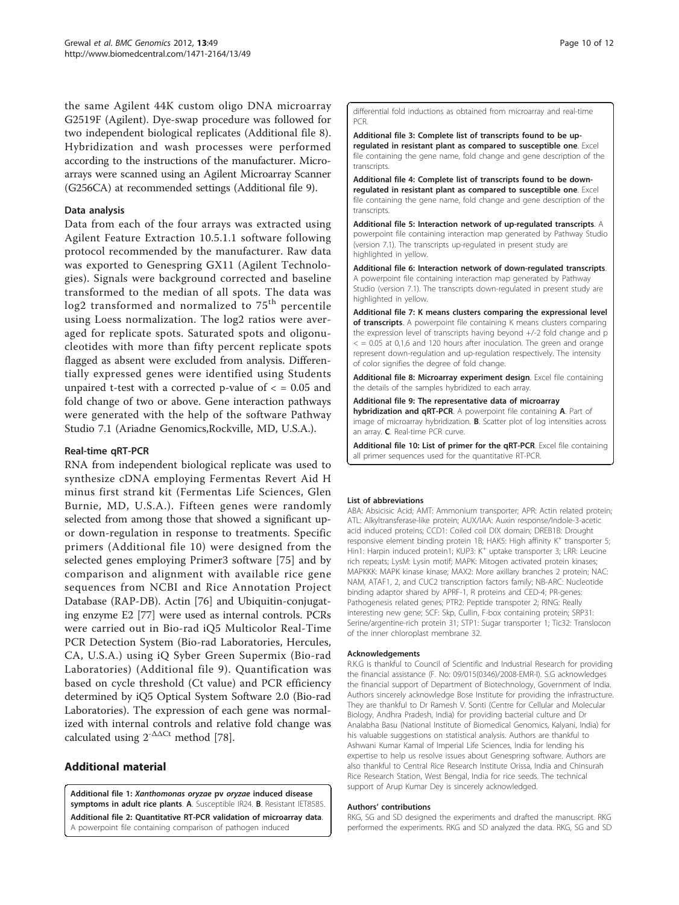<span id="page-9-0"></span>the same Agilent 44K custom oligo DNA microarray G2519F (Agilent). Dye-swap procedure was followed for two independent biological replicates (Additional file 8). Hybridization and wash processes were performed according to the instructions of the manufacturer. Microarrays were scanned using an Agilent Microarray Scanner (G256CA) at recommended settings (Additional file 9).

#### Data analysis

Data from each of the four arrays was extracted using Agilent Feature Extraction 10.5.1.1 software following protocol recommended by the manufacturer. Raw data was exported to Genespring GX11 (Agilent Technologies). Signals were background corrected and baseline transformed to the median of all spots. The data was  $log2$  transformed and normalized to  $75<sup>th</sup>$  percentile using Loess normalization. The log2 ratios were averaged for replicate spots. Saturated spots and oligonucleotides with more than fifty percent replicate spots flagged as absent were excluded from analysis. Differentially expressed genes were identified using Students unpaired t-test with a corrected p-value of  $\langle$  = 0.05 and fold change of two or above. Gene interaction pathways were generated with the help of the software Pathway Studio 7.1 (Ariadne Genomics,Rockville, MD, U.S.A.).

#### Real-time qRT-PCR

RNA from independent biological replicate was used to synthesize cDNA employing Fermentas Revert Aid H minus first strand kit (Fermentas Life Sciences, Glen Burnie, MD, U.S.A.). Fifteen genes were randomly selected from among those that showed a significant upor down-regulation in response to treatments. Specific primers (Additional file 10) were designed from the selected genes employing Primer3 software [[75\]](#page-11-0) and by comparison and alignment with available rice gene sequences from NCBI and Rice Annotation Project Database (RAP-DB). Actin [[76\]](#page-11-0) and Ubiquitin-conjugating enzyme E2 [[77](#page-11-0)] were used as internal controls. PCRs were carried out in Bio-rad iQ5 Multicolor Real-Time PCR Detection System (Bio-rad Laboratories, Hercules, CA, U.S.A.) using iQ Syber Green Supermix (Bio-rad Laboratories) (Additional file 9). Quantification was based on cycle threshold (Ct value) and PCR efficiency determined by iQ5 Optical System Software 2.0 (Bio-rad Laboratories). The expression of each gene was normalized with internal controls and relative fold change was calculated using  $2^{-\Delta\Delta Ct}$  method [[78\]](#page-11-0).

# Additional material

[Additional file 1:](http://www.biomedcentral.com/content/supplementary/1471-2164-13-49-S1.PPT) Xanthomonas oryzae pv oryzae induced disease symptoms in adult rice plants. A. Susceptible IR24. B. Resistant IET8585. [Additional file 2: Q](http://www.biomedcentral.com/content/supplementary/1471-2164-13-49-S2.PPT)uantitative RT-PCR validation of microarray data. A powerpoint file containing comparison of pathogen induced

differential fold inductions as obtained from microarray and real-time PCR.

[Additional file 3: C](http://www.biomedcentral.com/content/supplementary/1471-2164-13-49-S3.XLS)omplete list of transcripts found to be upregulated in resistant plant as compared to susceptible one. Excel file containing the gene name, fold change and gene description of the transcripts.

[Additional file 4: C](http://www.biomedcentral.com/content/supplementary/1471-2164-13-49-S4.XLS)omplete list of transcripts found to be downregulated in resistant plant as compared to susceptible one. Excel file containing the gene name, fold change and gene description of the transcripts.

[Additional file 5: I](http://www.biomedcentral.com/content/supplementary/1471-2164-13-49-S5.PPT)nteraction network of up-regulated transcripts. A powerpoint file containing interaction map generated by Pathway Studio (version 7.1). The transcripts up-regulated in present study are highlighted in yellow.

[Additional file 6: I](http://www.biomedcentral.com/content/supplementary/1471-2164-13-49-S6.PPT)nteraction network of down-regulated transcripts. A powerpoint file containing interaction map generated by Pathway Studio (version 7.1). The transcripts down-regulated in present study are highlighted in yellow.

[Additional file 7: K](http://www.biomedcentral.com/content/supplementary/1471-2164-13-49-S7.PPT) means clusters comparing the expressional level of transcripts. A powerpoint file containing K means clusters comparing the expression level of transcripts having beyond +/-2 fold change and p  $\epsilon$  = 0.05 at 0,1,6 and 120 hours after inoculation. The green and orange represent down-regulation and up-regulation respectively. The intensity of color signifies the degree of fold change.

[Additional file 8: M](http://www.biomedcentral.com/content/supplementary/1471-2164-13-49-S8.XLS)icroarray experiment design. Excel file containing the details of the samples hybridized to each array.

[Additional file 9: T](http://www.biomedcentral.com/content/supplementary/1471-2164-13-49-S9.PPT)he representative data of microarray hybridization and qRT-PCR. A powerpoint file containing A. Part of image of microarray hybridization. B. Scatter plot of log intensities across an array. C. Real-time PCR curve.

[Additional file 10:](http://www.biomedcentral.com/content/supplementary/1471-2164-13-49-S10.XLS) List of primer for the qRT-PCR. Excel file containing all primer sequences used for the quantitative RT-PCR.

#### List of abbreviations

ABA: Absicisic Acid; AMT: Ammonium transporter; APR: Actin related protein; ATL: Alkyltransferase-like protein; AUX/IAA: Auxin response/Indole-3-acetic acid induced proteins; CCD1: Coiled coil DIX domain; DREB1B: Drought responsive element binding protein 1B; HAK5: High affinity K<sup>+</sup> transporter 5; Hin1: Harpin induced protein1; KUP3: K<sup>+</sup> uptake transporter 3; LRR: Leucine rich repeats; LysM: Lysin motif; MAPK: Mitogen activated protein kinases; MAPKKK: MAPK kinase kinase; MAX2: More axillary branches 2 protein; NAC: NAM, ATAF1, 2, and CUC2 transcription factors family; NB-ARC: Nucleotide binding adaptor shared by APRF-1, R proteins and CED-4; PR-genes: Pathogenesis related genes; PTR2: Peptide transpoter 2; RING: Really interesting new gene; SCF: Skp, Cullin, F-box containing protein; SRP31: Serine/argentine-rich protein 31; STP1: Sugar transporter 1; Tic32: Translocon of the inner chloroplast membrane 32.

#### Acknowledgements

R.K.G is thankful to Council of Scientific and Industrial Research for providing the financial assistance (F. No: 09/015(0346)/2008-EMR-I). S.G acknowledges the financial support of Department of Biotechnology, Government of India. Authors sincerely acknowledge Bose Institute for providing the infrastructure. They are thankful to Dr Ramesh V. Sonti (Centre for Cellular and Molecular Biology, Andhra Pradesh, India) for providing bacterial culture and Dr Analabha Basu (National Institute of Biomedical Genomics, Kalyani, India) for his valuable suggestions on statistical analysis. Authors are thankful to Ashwani Kumar Kamal of Imperial Life Sciences, India for lending his expertise to help us resolve issues about Genespring software. Authors are also thankful to Central Rice Research Institute Orissa, India and Chinsurah Rice Research Station, West Bengal, India for rice seeds. The technical support of Arup Kumar Dey is sincerely acknowledged.

#### Authors' contributions

RKG, SG and SD designed the experiments and drafted the manuscript. RKG performed the experiments. RKG and SD analyzed the data. RKG, SG and SD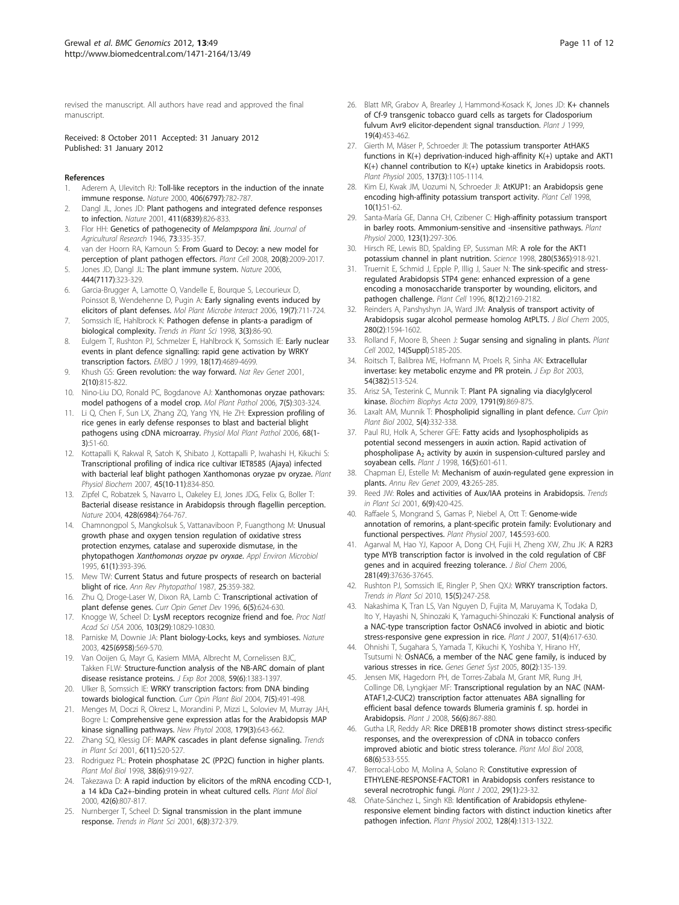<span id="page-10-0"></span>revised the manuscript. All authors have read and approved the final manuscript.

Received: 8 October 2011 Accepted: 31 January 2012 Published: 31 January 2012

#### References

- 1. Aderem A, Ulevitch RJ: [Toll-like receptors in the induction of the innate](http://www.ncbi.nlm.nih.gov/pubmed/10963608?dopt=Abstract) [immune response.](http://www.ncbi.nlm.nih.gov/pubmed/10963608?dopt=Abstract) Nature 2000, 406(6797):782-787.
- Dangl JL, Jones JD: [Plant pathogens and integrated defence responses](http://www.ncbi.nlm.nih.gov/pubmed/11459065?dopt=Abstract) [to infection.](http://www.ncbi.nlm.nih.gov/pubmed/11459065?dopt=Abstract) Nature 2001, 411(6839):826-833.
- 3. Flor HH: Genetics of pathogenecity of Melampspora lini. Journal of Agricultural Research 1946, 73:335-357.
- 4. van der Hoorn RA, Kamoun S: [From Guard to Decoy: a new model for](http://www.ncbi.nlm.nih.gov/pubmed/18723576?dopt=Abstract) [perception of plant pathogen effectors.](http://www.ncbi.nlm.nih.gov/pubmed/18723576?dopt=Abstract) Plant Cell 2008, 20(8):2009-2017.
- 5. Jones JD, Dangl JL: [The plant immune system.](http://www.ncbi.nlm.nih.gov/pubmed/17108957?dopt=Abstract) Nature 2006, 444(7117):323-329.
- 6. Garcia-Brugger A, Lamotte O, Vandelle E, Bourque S, Lecourieux D, Poinssot B, Wendehenne D, Pugin A: [Early signaling events induced by](http://www.ncbi.nlm.nih.gov/pubmed/16838784?dopt=Abstract) [elicitors of plant defenses.](http://www.ncbi.nlm.nih.gov/pubmed/16838784?dopt=Abstract) Mol Plant Microbe Interact 2006, 19(7):711-724.
- 7. Somssich IE, Hahlbrock K: Pathogen defense in plants-a paradigm of biological complexity. Trends in Plant Sci 1998, 3(3):86-90.
- 8. Eulgem T, Rushton PJ, Schmelzer E, Hahlbrock K, Somssich IE: [Early nuclear](http://www.ncbi.nlm.nih.gov/pubmed/10469648?dopt=Abstract) [events in plant defence signalling: rapid gene activation by WRKY](http://www.ncbi.nlm.nih.gov/pubmed/10469648?dopt=Abstract) [transcription factors.](http://www.ncbi.nlm.nih.gov/pubmed/10469648?dopt=Abstract) EMBO J 1999, 18(17):4689-4699.
- 9. Khush GS: [Green revolution: the way forward.](http://www.ncbi.nlm.nih.gov/pubmed/11584298?dopt=Abstract) Nat Rev Genet 2001, 2(10):815-822.
- 10. Nino-Liu DO, Ronald PC, Bogdanove AJ: [Xanthomonas oryzae pathovars:](http://www.ncbi.nlm.nih.gov/pubmed/20507449?dopt=Abstract) [model pathogens of a model crop.](http://www.ncbi.nlm.nih.gov/pubmed/20507449?dopt=Abstract) Mol Plant Pathol 2006, 7(5):303-324.
- 11. Li Q, Chen F, Sun LX, Zhang ZQ, Yang YN, He ZH: Expression profiling of rice genes in early defense responses to blast and bacterial blight pathogens using cDNA microarray. Physiol Mol Plant Pathol 2006, 68(1-3):51-60.
- 12. Kottapalli K, Rakwal R, Satoh K, Shibato J, Kottapalli P, Iwahashi H, Kikuchi S: [Transcriptional profiling of indica rice cultivar IET8585 \(Ajaya\) infected](http://www.ncbi.nlm.nih.gov/pubmed/17870590?dopt=Abstract) [with bacterial leaf blight pathogen Xanthomonas oryzae pv oryzae.](http://www.ncbi.nlm.nih.gov/pubmed/17870590?dopt=Abstract) Plant Physiol Biochem 2007, 45(10-11):834-850.
- 13. Zipfel C, Robatzek S, Navarro L, Oakeley EJ, Jones JDG, Felix G, Boller T: [Bacterial disease resistance in Arabidopsis through flagellin perception.](http://www.ncbi.nlm.nih.gov/pubmed/15085136?dopt=Abstract) Nature 2004, 428(6984):764-767.
- 14. Chamnongpol S, Mangkolsuk S, Vattanaviboon P, Fuangthong M: [Unusual](http://www.ncbi.nlm.nih.gov/pubmed/16534917?dopt=Abstract) [growth phase and oxygen tension regulation of oxidative stress](http://www.ncbi.nlm.nih.gov/pubmed/16534917?dopt=Abstract) [protection enzymes, catalase and superoxide dismutase, in the](http://www.ncbi.nlm.nih.gov/pubmed/16534917?dopt=Abstract) phytopathogen [Xanthomonas oryzae](http://www.ncbi.nlm.nih.gov/pubmed/16534917?dopt=Abstract) pv oryxae. Appl Environ Microbiol 1995, 61(1):393-396.
- 15. Mew TW: Current Status and future prospects of research on bacterial blight of rice. Ann Rev Phytopathol 1987, 25:359-382.
- 16. Zhu Q, Droge-Laser W, Dixon RA, Lamb C: [Transcriptional activation of](http://www.ncbi.nlm.nih.gov/pubmed/8939722?dopt=Abstract) [plant defense genes.](http://www.ncbi.nlm.nih.gov/pubmed/8939722?dopt=Abstract) Curr Opin Genet Dev 1996, 6(5):624-630.
- 17. Knogge W, Scheel D: [LysM receptors recognize friend and foe.](http://www.ncbi.nlm.nih.gov/pubmed/16832046?dopt=Abstract) Proc Natl Acad Sci USA 2006, 103(29):10829-10830.
- 18. Parniske M, Downie JA: [Plant biology-Locks, keys and symbioses.](http://www.ncbi.nlm.nih.gov/pubmed/14534570?dopt=Abstract) Nature 2003, 425(6958):569-570.
- 19. Van Ooijen G, Mayr G, Kasiem MMA, Albrecht M, Cornelissen BJC, Takken FLW: [Structure-function analysis of the NB-ARC domain of plant](http://www.ncbi.nlm.nih.gov/pubmed/18390848?dopt=Abstract) [disease resistance proteins.](http://www.ncbi.nlm.nih.gov/pubmed/18390848?dopt=Abstract) J Exp Bot 2008, 59(6):1383-1397.
- 20. Ulker B, Somssich IE: [WRKY transcription factors: from DNA binding](http://www.ncbi.nlm.nih.gov/pubmed/15337090?dopt=Abstract) [towards biological function.](http://www.ncbi.nlm.nih.gov/pubmed/15337090?dopt=Abstract) Curr Opin Plant Biol 2004, 7(5):491-498.
- 21. Menges M, Doczi R, Okresz L, Morandini P, Mizzi L, Soloviev M, Murray JAH, Bogre L: [Comprehensive gene expression atlas for the Arabidopsis MAP](http://www.ncbi.nlm.nih.gov/pubmed/18715324?dopt=Abstract) [kinase signalling pathways.](http://www.ncbi.nlm.nih.gov/pubmed/18715324?dopt=Abstract) New Phytol 2008, 179(3):643-662.
- 22. Zhang SQ, Klessig DF: MAPK cascades in plant defense signaling. Trends in Plant Sci 2001, 6(11):520-527.
- 23. Rodriguez PL: [Protein phosphatase 2C \(PP2C\) function in higher plants.](http://www.ncbi.nlm.nih.gov/pubmed/9869399?dopt=Abstract) Plant Mol Biol 1998, 38(6):919-927.
- 24. Takezawa D: [A rapid induction by elicitors of the mRNA encoding CCD-1,](http://www.ncbi.nlm.nih.gov/pubmed/10890529?dopt=Abstract) [a 14 kDa Ca2+-binding protein in wheat cultured cells.](http://www.ncbi.nlm.nih.gov/pubmed/10890529?dopt=Abstract) Plant Mol Biol 2000, 42(6):807-817.
- 25. Nurnberger T, Scheel D: Signal transmission in the plant immune response. Trends in Plant Sci 2001, 6(8):372-379.
- 26. Blatt MR, Grabov A, Brearley J, Hammond-Kosack K, Jones JD; [K+ channels](http://www.ncbi.nlm.nih.gov/pubmed/10504567?dopt=Abstract) [of Cf-9 transgenic tobacco guard cells as targets for Cladosporium](http://www.ncbi.nlm.nih.gov/pubmed/10504567?dopt=Abstract) [fulvum Avr9 elicitor-dependent signal transduction.](http://www.ncbi.nlm.nih.gov/pubmed/10504567?dopt=Abstract) Plant J 1999, 19(4):453-462.
- 27. Gierth M, Mäser P, Schroeder JI: [The potassium transporter AtHAK5](http://www.ncbi.nlm.nih.gov/pubmed/15734909?dopt=Abstract) [functions in K\(+\) deprivation-induced high-affinity K\(+\) uptake and AKT1](http://www.ncbi.nlm.nih.gov/pubmed/15734909?dopt=Abstract) [K\(+\) channel contribution to K\(+\) uptake kinetics in Arabidopsis roots.](http://www.ncbi.nlm.nih.gov/pubmed/15734909?dopt=Abstract) Plant Physiol 2005, 137(3):1105-1114.
- 28. Kim EJ, Kwak JM, Uozumi N, Schroeder JI: [AtKUP1: an Arabidopsis gene](http://www.ncbi.nlm.nih.gov/pubmed/9477571?dopt=Abstract) [encoding high-affinity potassium transport activity.](http://www.ncbi.nlm.nih.gov/pubmed/9477571?dopt=Abstract) Plant Cell 1998, 10(1):51-62.
- 29. Santa-María GE, Danna CH, Czibener C: High-affinity [potassium transport](http://www.ncbi.nlm.nih.gov/pubmed/10806246?dopt=Abstract) [in barley roots. Ammonium-sensitive and -insensitive pathways.](http://www.ncbi.nlm.nih.gov/pubmed/10806246?dopt=Abstract) Plant Physiol 2000, 123(1):297-306.
- 30. Hirsch RE, Lewis BD, Spalding EP, Sussman MR: [A role for the AKT1](http://www.ncbi.nlm.nih.gov/pubmed/9572739?dopt=Abstract) [potassium channel in plant nutrition.](http://www.ncbi.nlm.nih.gov/pubmed/9572739?dopt=Abstract) Science 1998, 280(5365):918-921.
- 31. Truernit E, Schmid J, Epple P, Illig J, Sauer N: [The sink-specific and stress](http://www.ncbi.nlm.nih.gov/pubmed/8989877?dopt=Abstract)[regulated Arabidopsis STP4 gene: enhanced expression of a gene](http://www.ncbi.nlm.nih.gov/pubmed/8989877?dopt=Abstract) [encoding a monosaccharide transporter by wounding, elicitors, and](http://www.ncbi.nlm.nih.gov/pubmed/8989877?dopt=Abstract) [pathogen challenge.](http://www.ncbi.nlm.nih.gov/pubmed/8989877?dopt=Abstract) Plant Cell 1996, 8(12):2169-2182.
- 32. Reinders A, Panshyshyn JA, Ward JM: [Analysis of transport activity of](http://www.ncbi.nlm.nih.gov/pubmed/15525644?dopt=Abstract) [Arabidopsis sugar alcohol permease homolog AtPLT5.](http://www.ncbi.nlm.nih.gov/pubmed/15525644?dopt=Abstract) J Biol Chem 2005, 280(2):1594-1602.
- 33. Rolland F, Moore B, Sheen J: [Sugar sensing and signaling in plants.](http://www.ncbi.nlm.nih.gov/pubmed/12045277?dopt=Abstract) Plant Cell 2002, 14(Suppl):S185-205.
- 34. Roitsch T, Balibrea ME, Hofmann M, Proels R, Sinha AK: [Extracellular](http://www.ncbi.nlm.nih.gov/pubmed/12508062?dopt=Abstract) [invertase: key metabolic enzyme and PR protein.](http://www.ncbi.nlm.nih.gov/pubmed/12508062?dopt=Abstract) J Exp Bot 2003, 54(382):513-524.
- 35. Arisz SA, Testerink C, Munnik T: [Plant PA signaling via diacylglycerol](http://www.ncbi.nlm.nih.gov/pubmed/19394438?dopt=Abstract) [kinase.](http://www.ncbi.nlm.nih.gov/pubmed/19394438?dopt=Abstract) Biochim Biophys Acta 2009, 1791(9):869-875.
- 36. Laxalt AM, Munnik T: [Phospholipid signalling in plant defence.](http://www.ncbi.nlm.nih.gov/pubmed/12179967?dopt=Abstract) Curr Opin Plant Biol 2002, 5(4):332-338.
- 37. Paul RU, Holk A, Scherer GFE: Fatty acids and lysophospholipids as potential second messengers in auxin action. Rapid activation of phospholipase  $A<sub>2</sub>$  activity by auxin in suspension-cultured parsley and soyabean cells. Plant J 1998, 16(5):601-611.
- 38. Chapman EJ, Estelle M: [Mechanism of auxin-regulated gene expression in](http://www.ncbi.nlm.nih.gov/pubmed/19686081?dopt=Abstract) [plants.](http://www.ncbi.nlm.nih.gov/pubmed/19686081?dopt=Abstract) Annu Rev Genet 2009, 43:265-285.
- 39. Reed JW: Roles and activities of Aux/IAA proteins in Arabidopsis. Trends in Plant Sci 2001, 6(9):420-425.
- 40. Raffaele S, Mongrand S, Gamas P, Niebel A, Ott T: [Genome-wide](http://www.ncbi.nlm.nih.gov/pubmed/17984200?dopt=Abstract) [annotation of remorins, a plant-specific protein family: Evolutionary and](http://www.ncbi.nlm.nih.gov/pubmed/17984200?dopt=Abstract) [functional perspectives.](http://www.ncbi.nlm.nih.gov/pubmed/17984200?dopt=Abstract) Plant Physiol 2007, 145:593-600.
- 41. Agarwal M, Hao YJ, Kapoor A, Dong CH, Fujii H, Zheng XW, Zhu JK: [A R2R3](http://www.ncbi.nlm.nih.gov/pubmed/17015446?dopt=Abstract) [type MYB transcription factor is involved in the cold regulation of CBF](http://www.ncbi.nlm.nih.gov/pubmed/17015446?dopt=Abstract) [genes and in acquired freezing tolerance.](http://www.ncbi.nlm.nih.gov/pubmed/17015446?dopt=Abstract) J Biol Chem 2006, 281(49):37636-37645.
- 42. Rushton PJ, Somssich IE, Ringler P, Shen QXJ: WRKY transcription factors. Trends in Plant Sci 2010, 15(5):247-258.
- 43. Nakashima K, Tran LS, Van Nguyen D, Fujita M, Maruyama K, Todaka D, Ito Y, Hayashi N, Shinozaki K, Yamaguchi-Shinozaki K: [Functional analysis of](http://www.ncbi.nlm.nih.gov/pubmed/17587305?dopt=Abstract) [a NAC-type transcription factor OsNAC6 involved in abiotic and biotic](http://www.ncbi.nlm.nih.gov/pubmed/17587305?dopt=Abstract) [stress-responsive gene expression in rice.](http://www.ncbi.nlm.nih.gov/pubmed/17587305?dopt=Abstract) Plant J 2007, 51(4):617-630.
- 44. Ohnishi T, Sugahara S, Yamada T, Kikuchi K, Yoshiba Y, Hirano HY, Tsutsumi N: [OsNAC6, a member of the NAC gene family, is induced by](http://www.ncbi.nlm.nih.gov/pubmed/16172526?dopt=Abstract) [various stresses in rice.](http://www.ncbi.nlm.nih.gov/pubmed/16172526?dopt=Abstract) Genes Genet Syst 2005, 80(2):135-139.
- 45. Jensen MK, Hagedorn PH, de Torres-Zabala M, Grant MR, Rung JH, Collinge DB, Lyngkjaer MF: [Transcriptional regulation by an NAC \(NAM-](http://www.ncbi.nlm.nih.gov/pubmed/18694460?dopt=Abstract)[ATAF1,2-CUC2\) transcription factor attenuates ABA signalling for](http://www.ncbi.nlm.nih.gov/pubmed/18694460?dopt=Abstract) [efficient basal defence towards Blumeria graminis f. sp. hordei in](http://www.ncbi.nlm.nih.gov/pubmed/18694460?dopt=Abstract) [Arabidopsis.](http://www.ncbi.nlm.nih.gov/pubmed/18694460?dopt=Abstract) Plant J 2008, 56(6):867-880.
- 46. Gutha LR, Reddy AR: [Rice DREB1B promoter shows distinct stress-specific](http://www.ncbi.nlm.nih.gov/pubmed/18754079?dopt=Abstract) [responses, and the overexpression of cDNA in tobacco confers](http://www.ncbi.nlm.nih.gov/pubmed/18754079?dopt=Abstract) [improved abiotic and biotic stress tolerance.](http://www.ncbi.nlm.nih.gov/pubmed/18754079?dopt=Abstract) Plant Mol Biol 2008, 68(6):533-555.
- 47. Berrocal-Lobo M, Molina A, Solano R: [Constitutive expression of](http://www.ncbi.nlm.nih.gov/pubmed/12060224?dopt=Abstract) [ETHYLENE-RESPONSE-FACTOR1 in Arabidopsis confers resistance to](http://www.ncbi.nlm.nih.gov/pubmed/12060224?dopt=Abstract) [several necrotrophic fungi.](http://www.ncbi.nlm.nih.gov/pubmed/12060224?dopt=Abstract) Plant J 2002, 29(1):23-32.
- 48. Oñate-Sánchez L, Singh KB: [Identification of Arabidopsis ethylene](http://www.ncbi.nlm.nih.gov/pubmed/11950980?dopt=Abstract)[responsive element binding factors with distinct induction kinetics after](http://www.ncbi.nlm.nih.gov/pubmed/11950980?dopt=Abstract) [pathogen infection.](http://www.ncbi.nlm.nih.gov/pubmed/11950980?dopt=Abstract) Plant Physiol 2002, 128(4):1313-1322.